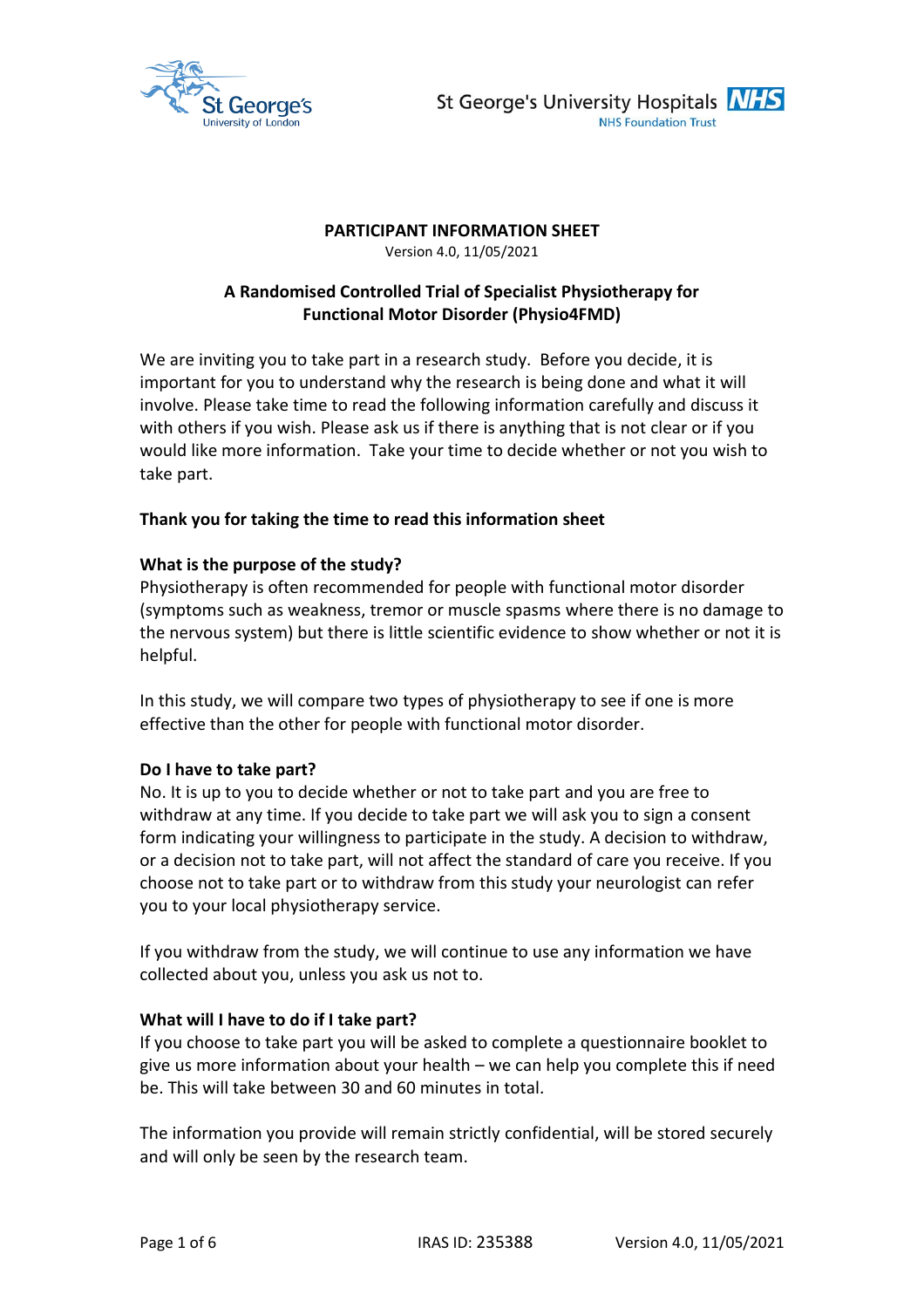



### **PARTICIPANT INFORMATION SHEET**

Version 4.0, 11/05/2021

# **A Randomised Controlled Trial of Specialist Physiotherapy for Functional Motor Disorder (Physio4FMD)**

We are inviting you to take part in a research study. Before you decide, it is important for you to understand why the research is being done and what it will involve. Please take time to read the following information carefully and discuss it with others if you wish. Please ask us if there is anything that is not clear or if you would like more information. Take your time to decide whether or not you wish to take part.

## **Thank you for taking the time to read this information sheet**

### **What is the purpose of the study?**

Physiotherapy is often recommended for people with functional motor disorder (symptoms such as weakness, tremor or muscle spasms where there is no damage to the nervous system) but there is little scientific evidence to show whether or not it is helpful.

In this study, we will compare two types of physiotherapy to see if one is more effective than the other for people with functional motor disorder.

#### **Do I have to take part?**

No. It is up to you to decide whether or not to take part and you are free to withdraw at any time. If you decide to take part we will ask you to sign a consent form indicating your willingness to participate in the study. A decision to withdraw, or a decision not to take part, will not affect the standard of care you receive. If you choose not to take part or to withdraw from this study your neurologist can refer you to your local physiotherapy service.

If you withdraw from the study, we will continue to use any information we have collected about you, unless you ask us not to.

#### **What will I have to do if I take part?**

If you choose to take part you will be asked to complete a questionnaire booklet to give us more information about your health – we can help you complete this if need be. This will take between 30 and 60 minutes in total.

The information you provide will remain strictly confidential, will be stored securely and will only be seen by the research team.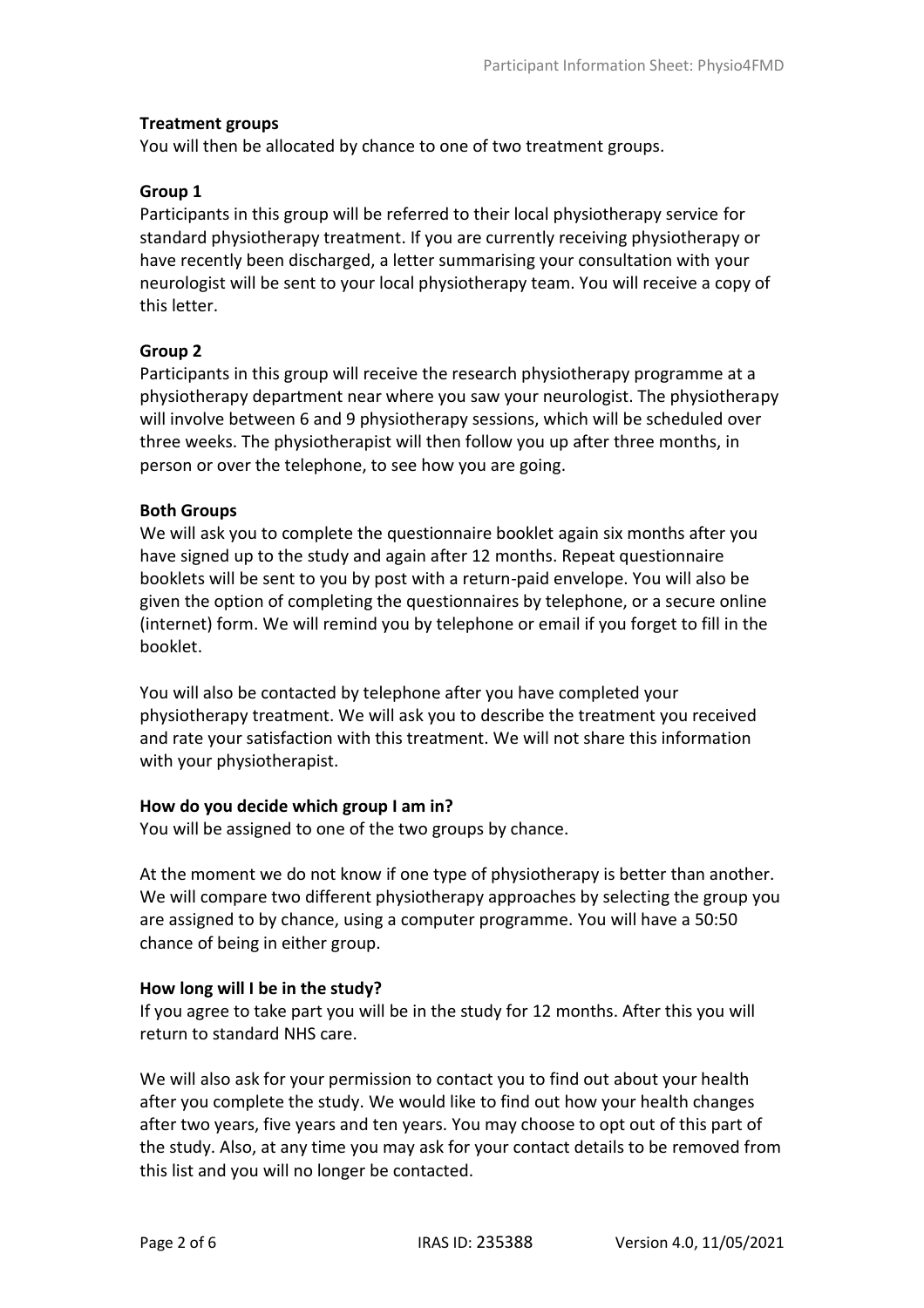### **Treatment groups**

You will then be allocated by chance to one of two treatment groups.

### **Group 1**

Participants in this group will be referred to their local physiotherapy service for standard physiotherapy treatment. If you are currently receiving physiotherapy or have recently been discharged, a letter summarising your consultation with your neurologist will be sent to your local physiotherapy team. You will receive a copy of this letter.

### **Group 2**

Participants in this group will receive the research physiotherapy programme at a physiotherapy department near where you saw your neurologist. The physiotherapy will involve between 6 and 9 physiotherapy sessions, which will be scheduled over three weeks. The physiotherapist will then follow you up after three months, in person or over the telephone, to see how you are going.

### **Both Groups**

We will ask you to complete the questionnaire booklet again six months after you have signed up to the study and again after 12 months. Repeat questionnaire booklets will be sent to you by post with a return-paid envelope. You will also be given the option of completing the questionnaires by telephone, or a secure online (internet) form. We will remind you by telephone or email if you forget to fill in the booklet.

You will also be contacted by telephone after you have completed your physiotherapy treatment. We will ask you to describe the treatment you received and rate your satisfaction with this treatment. We will not share this information with your physiotherapist.

#### **How do you decide which group I am in?**

You will be assigned to one of the two groups by chance.

At the moment we do not know if one type of physiotherapy is better than another. We will compare two different physiotherapy approaches by selecting the group you are assigned to by chance, using a computer programme. You will have a 50:50 chance of being in either group.

#### **How long will I be in the study?**

If you agree to take part you will be in the study for 12 months. After this you will return to standard NHS care.

We will also ask for your permission to contact you to find out about your health after you complete the study. We would like to find out how your health changes after two years, five years and ten years. You may choose to opt out of this part of the study. Also, at any time you may ask for your contact details to be removed from this list and you will no longer be contacted.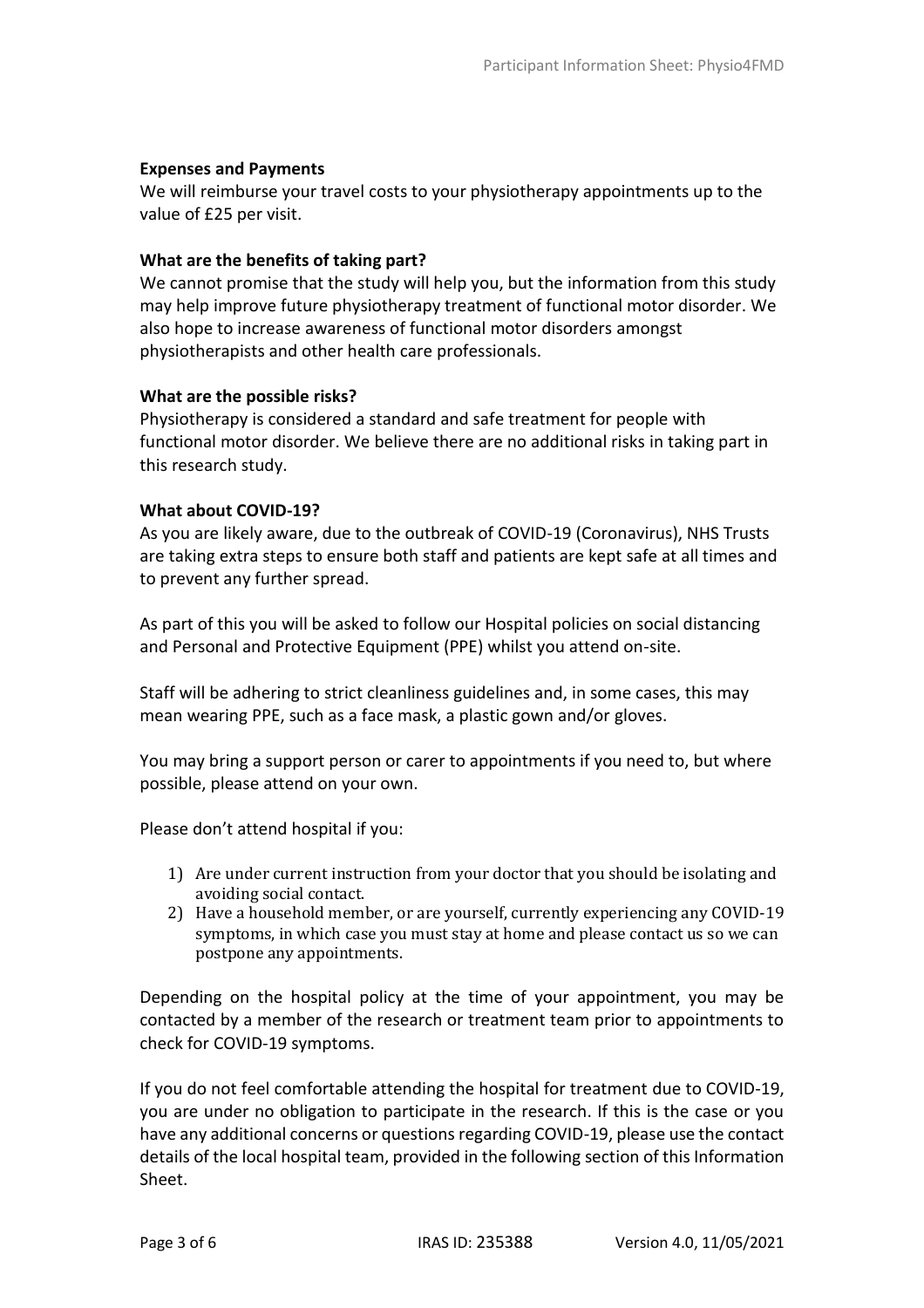#### **Expenses and Payments**

We will reimburse your travel costs to your physiotherapy appointments up to the value of £25 per visit.

### **What are the benefits of taking part?**

We cannot promise that the study will help you, but the information from this study may help improve future physiotherapy treatment of functional motor disorder. We also hope to increase awareness of functional motor disorders amongst physiotherapists and other health care professionals.

### **What are the possible risks?**

Physiotherapy is considered a standard and safe treatment for people with functional motor disorder. We believe there are no additional risks in taking part in this research study.

### **What about COVID-19?**

As you are likely aware, due to the outbreak of COVID-19 (Coronavirus), NHS Trusts are taking extra steps to ensure both staff and patients are kept safe at all times and to prevent any further spread.

As part of this you will be asked to follow our Hospital policies on social distancing and Personal and Protective Equipment (PPE) whilst you attend on-site.

Staff will be adhering to strict cleanliness guidelines and, in some cases, this may mean wearing PPE, such as a face mask, a plastic gown and/or gloves.

You may bring a support person or carer to appointments if you need to, but where possible, please attend on your own.

Please don't attend hospital if you:

- 1) Are under current instruction from your doctor that you should be isolating and avoiding social contact.
- 2) Have a household member, or are yourself, currently experiencing any COVID-19 symptoms, in which case you must stay at home and please contact us so we can postpone any appointments.

Depending on the hospital policy at the time of your appointment, you may be contacted by a member of the research or treatment team prior to appointments to check for COVID-19 symptoms.

If you do not feel comfortable attending the hospital for treatment due to COVID-19, you are under no obligation to participate in the research. If this is the case or you have any additional concerns or questions regarding COVID-19, please use the contact details of the local hospital team, provided in the following section of this Information Sheet.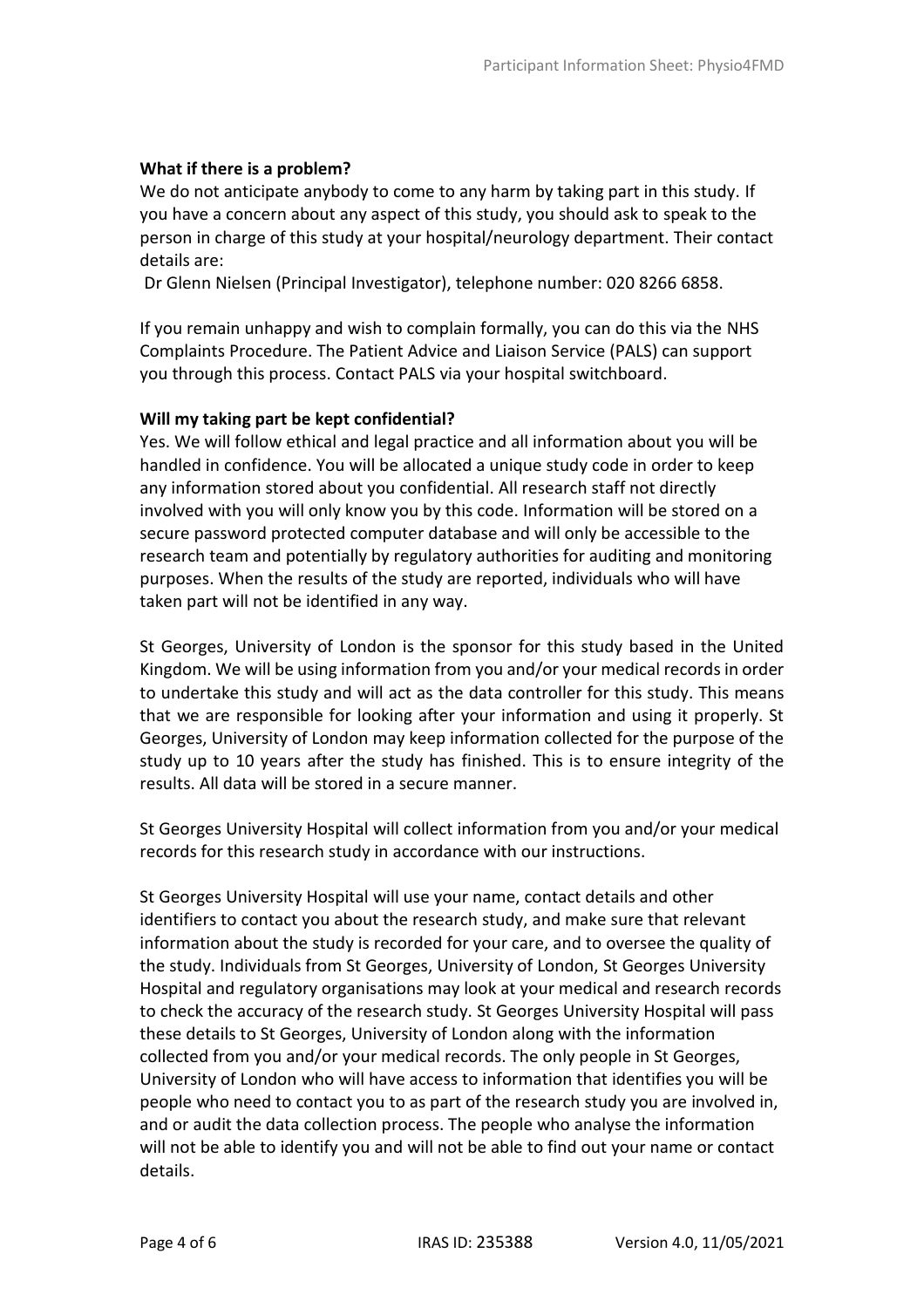### **What if there is a problem?**

We do not anticipate anybody to come to any harm by taking part in this study. If you have a concern about any aspect of this study, you should ask to speak to the person in charge of this study at your hospital/neurology department. Their contact details are:

Dr Glenn Nielsen (Principal Investigator), telephone number: 020 8266 6858.

If you remain unhappy and wish to complain formally, you can do this via the NHS Complaints Procedure. The Patient Advice and Liaison Service (PALS) can support you through this process. Contact PALS via your hospital switchboard.

### **Will my taking part be kept confidential?**

Yes. We will follow ethical and legal practice and all information about you will be handled in confidence. You will be allocated a unique study code in order to keep any information stored about you confidential. All research staff not directly involved with you will only know you by this code. Information will be stored on a secure password protected computer database and will only be accessible to the research team and potentially by regulatory authorities for auditing and monitoring purposes. When the results of the study are reported, individuals who will have taken part will not be identified in any way.

St Georges, University of London is the sponsor for this study based in the United Kingdom. We will be using information from you and/or your medical records in order to undertake this study and will act as the data controller for this study. This means that we are responsible for looking after your information and using it properly. St Georges, University of London may keep information collected for the purpose of the study up to 10 years after the study has finished. This is to ensure integrity of the results. All data will be stored in a secure manner.

St Georges University Hospital will collect information from you and/or your medical records for this research study in accordance with our instructions.

St Georges University Hospital will use your name, contact details and other identifiers to contact you about the research study, and make sure that relevant information about the study is recorded for your care, and to oversee the quality of the study. Individuals from St Georges, University of London, St Georges University Hospital and regulatory organisations may look at your medical and research records to check the accuracy of the research study. St Georges University Hospital will pass these details to St Georges, University of London along with the information collected from you and/or your medical records. The only people in St Georges, University of London who will have access to information that identifies you will be people who need to contact you to as part of the research study you are involved in, and or audit the data collection process. The people who analyse the information will not be able to identify you and will not be able to find out your name or contact details.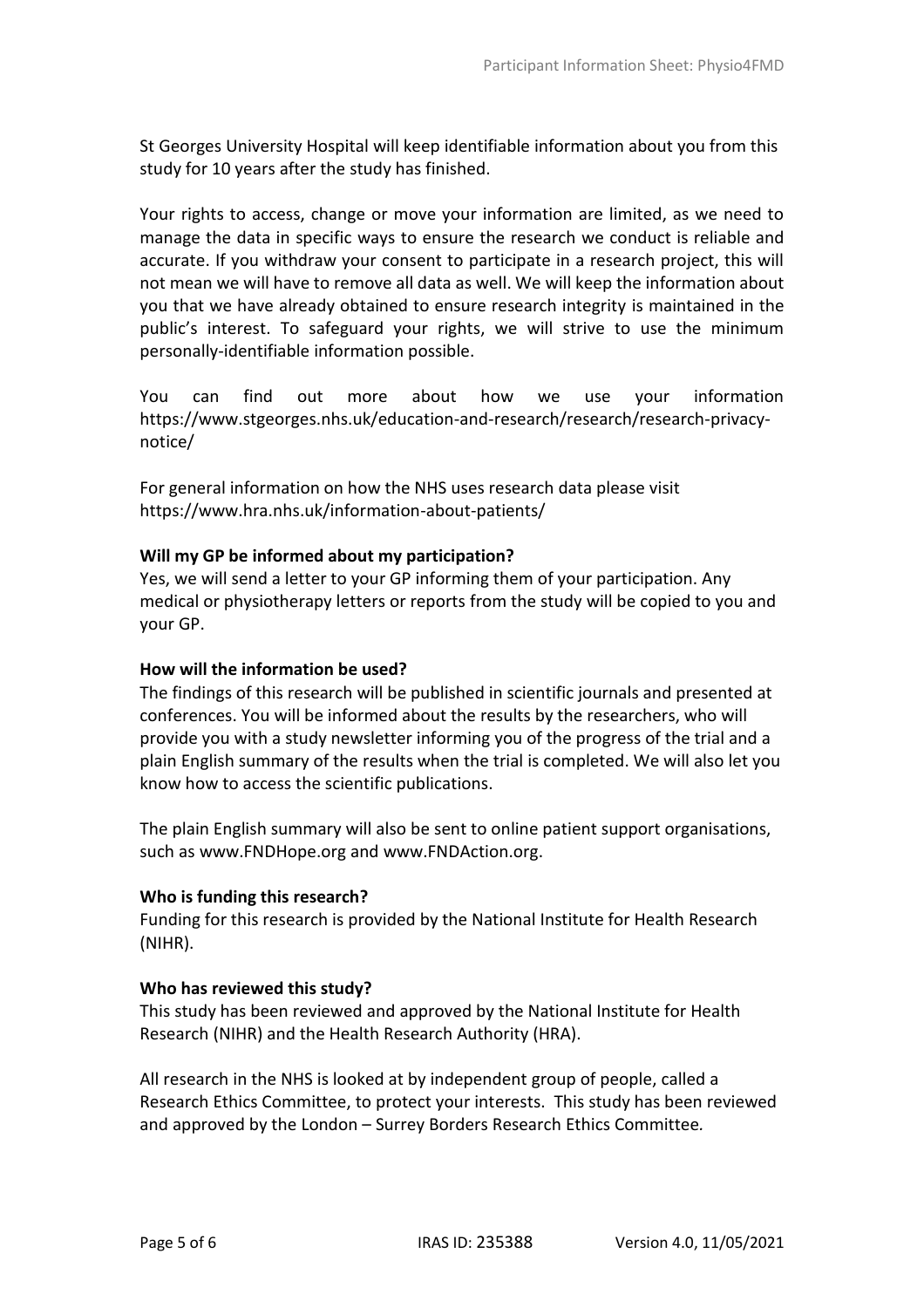St Georges University Hospital will keep identifiable information about you from this study for 10 years after the study has finished.

Your rights to access, change or move your information are limited, as we need to manage the data in specific ways to ensure the research we conduct is reliable and accurate. If you withdraw your consent to participate in a research project, this will not mean we will have to remove all data as well. We will keep the information about you that we have already obtained to ensure research integrity is maintained in the public's interest. To safeguard your rights, we will strive to use the minimum personally-identifiable information possible.

You can find out more about how we use your information [https://www.stgeorges.nhs.uk/education-and-research/research/research-privacy](https://www.stgeorges.nhs.uk/education-and-research/research/research-privacy-notice/)[notice/](https://www.stgeorges.nhs.uk/education-and-research/research/research-privacy-notice/)

For general information on how the NHS uses research data please visit <https://www.hra.nhs.uk/information-about-patients/>

### **Will my GP be informed about my participation?**

Yes, we will send a letter to your GP informing them of your participation. Any medical or physiotherapy letters or reports from the study will be copied to you and your GP.

#### **How will the information be used?**

The findings of this research will be published in scientific journals and presented at conferences. You will be informed about the results by the researchers, who will provide you with a study newsletter informing you of the progress of the trial and a plain English summary of the results when the trial is completed. We will also let you know how to access the scientific publications.

The plain English summary will also be sent to online patient support organisations, such as www.FNDHope.org and www.FNDAction.org.

#### **Who is funding this research?**

Funding for this research is provided by the National Institute for Health Research (NIHR).

#### **Who has reviewed this study?**

This study has been reviewed and approved by the National Institute for Health Research (NIHR) and the Health Research Authority (HRA).

All research in the NHS is looked at by independent group of people, called a Research Ethics Committee, to protect your interests. This study has been reviewed and approved by the London – Surrey Borders Research Ethics Committee*.*